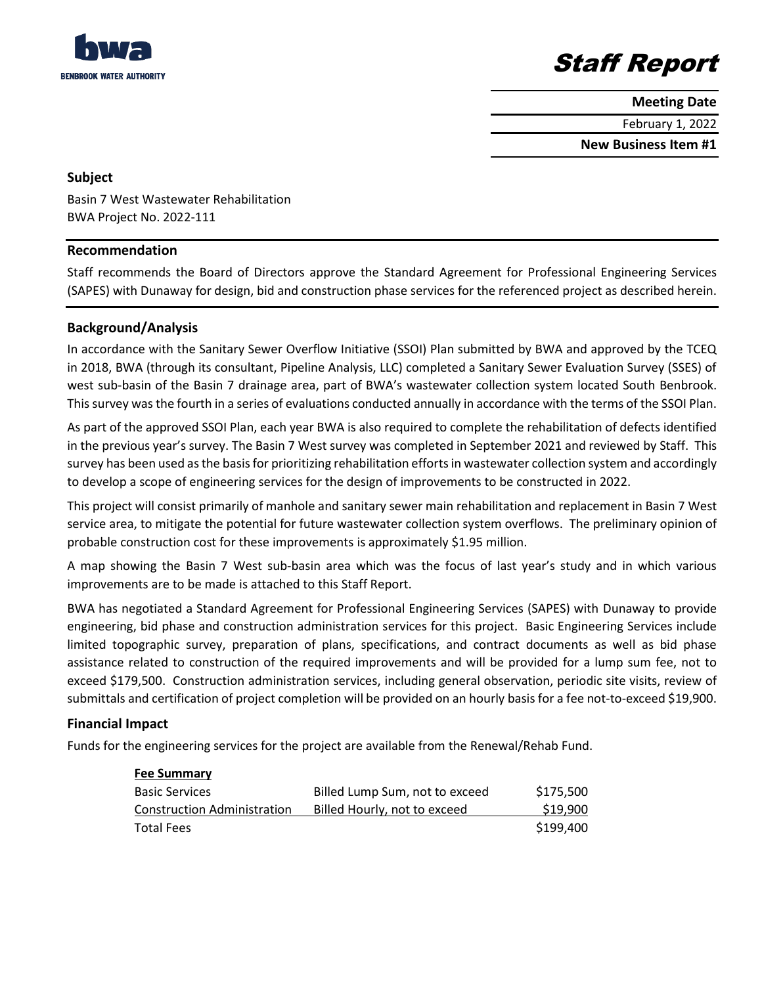

# Staff Report

**Meeting Date**

February 1, 2022

**New Business Item #1**

### **Subject**

Basin 7 West Wastewater Rehabilitation BWA Project No. 2022-111

### **Recommendation**

Staff recommends the Board of Directors approve the Standard Agreement for Professional Engineering Services (SAPES) with Dunaway for design, bid and construction phase services for the referenced project as described herein.

## **Background/Analysis**

In accordance with the Sanitary Sewer Overflow Initiative (SSOI) Plan submitted by BWA and approved by the TCEQ in 2018, BWA (through its consultant, Pipeline Analysis, LLC) completed a Sanitary Sewer Evaluation Survey (SSES) of west sub-basin of the Basin 7 drainage area, part of BWA's wastewater collection system located South Benbrook. This survey was the fourth in a series of evaluations conducted annually in accordance with the terms of the SSOI Plan.

As part of the approved SSOI Plan, each year BWA is also required to complete the rehabilitation of defects identified in the previous year's survey. The Basin 7 West survey was completed in September 2021 and reviewed by Staff. This survey has been used as the basis for prioritizing rehabilitation efforts in wastewater collection system and accordingly to develop a scope of engineering services for the design of improvements to be constructed in 2022.

This project will consist primarily of manhole and sanitary sewer main rehabilitation and replacement in Basin 7 West service area, to mitigate the potential for future wastewater collection system overflows. The preliminary opinion of probable construction cost for these improvements is approximately \$1.95 million.

A map showing the Basin 7 West sub-basin area which was the focus of last year's study and in which various improvements are to be made is attached to this Staff Report.

BWA has negotiated a Standard Agreement for Professional Engineering Services (SAPES) with Dunaway to provide engineering, bid phase and construction administration services for this project. Basic Engineering Services include limited topographic survey, preparation of plans, specifications, and contract documents as well as bid phase assistance related to construction of the required improvements and will be provided for a lump sum fee, not to exceed \$179,500. Construction administration services, including general observation, periodic site visits, review of submittals and certification of project completion will be provided on an hourly basis for a fee not-to-exceed \$19,900.

### **Financial Impact**

Funds for the engineering services for the project are available from the Renewal/Rehab Fund.

| <b>Fee Summary</b>                 |                                |           |
|------------------------------------|--------------------------------|-----------|
| <b>Basic Services</b>              | Billed Lump Sum, not to exceed | \$175,500 |
| <b>Construction Administration</b> | Billed Hourly, not to exceed   | \$19,900  |
| <b>Total Fees</b>                  |                                | \$199,400 |